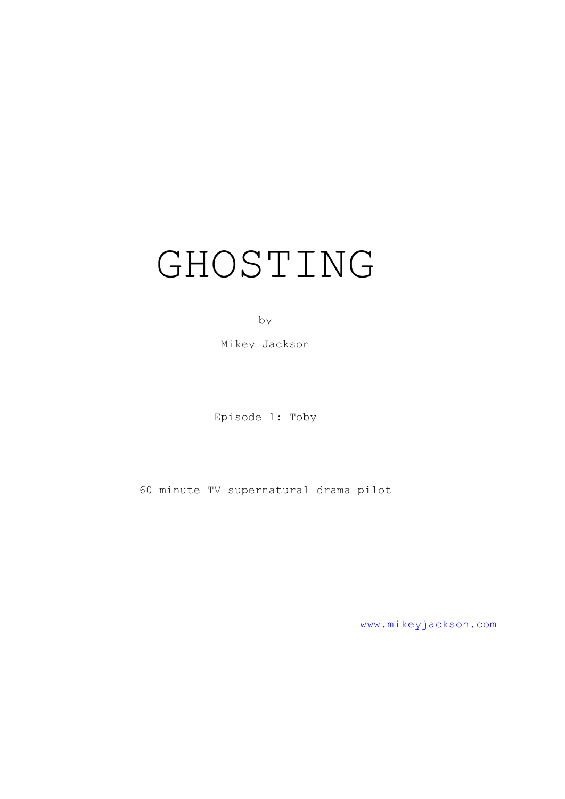# GHOSTING

by

Mikey Jackson

Episode 1: Toby

60 minute TV supernatural drama pilot

[www.mikeyjackson.com](http://www.mikeyjackson.com/)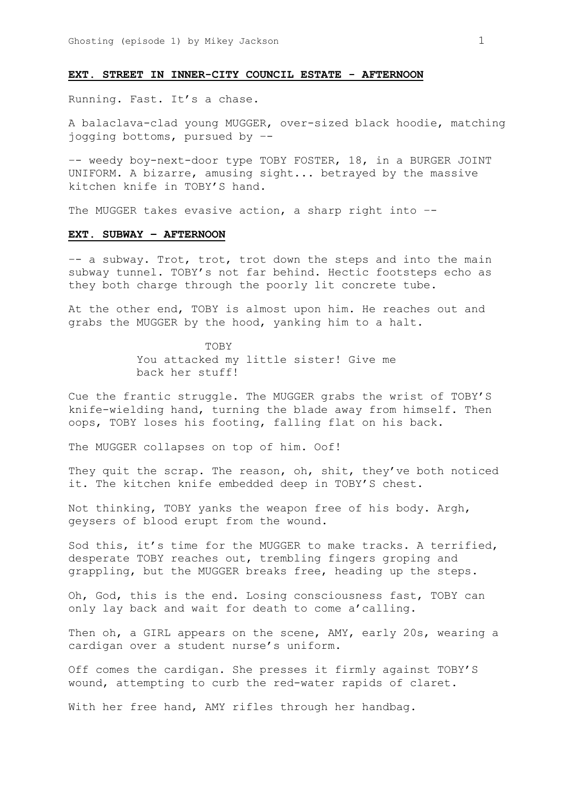# **EXT. STREET IN INNER-CITY COUNCIL ESTATE - AFTERNOON**

Running. Fast. It's a chase.

A balaclava-clad young MUGGER, over-sized black hoodie, matching jogging bottoms, pursued by –-

–- weedy boy-next-door type TOBY FOSTER, 18, in a BURGER JOINT UNIFORM. A bizarre, amusing sight... betrayed by the massive kitchen knife in TOBY'S hand.

The MUGGER takes evasive action, a sharp right into –-

# **EXT. SUBWAY – AFTERNOON**

–- a subway. Trot, trot, trot down the steps and into the main subway tunnel. TOBY's not far behind. Hectic footsteps echo as they both charge through the poorly lit concrete tube.

At the other end, TOBY is almost upon him. He reaches out and grabs the MUGGER by the hood, yanking him to a halt.

> TOBY You attacked my little sister! Give me back her stuff!

Cue the frantic struggle. The MUGGER grabs the wrist of TOBY'S knife-wielding hand, turning the blade away from himself. Then oops, TOBY loses his footing, falling flat on his back.

The MUGGER collapses on top of him. Oof!

They quit the scrap. The reason, oh, shit, they've both noticed it. The kitchen knife embedded deep in TOBY'S chest.

Not thinking, TOBY yanks the weapon free of his body. Argh, geysers of blood erupt from the wound.

Sod this, it's time for the MUGGER to make tracks. A terrified, desperate TOBY reaches out, trembling fingers groping and grappling, but the MUGGER breaks free, heading up the steps.

Oh, God, this is the end. Losing consciousness fast, TOBY can only lay back and wait for death to come a'calling.

Then oh, a GIRL appears on the scene, AMY, early 20s, wearing a cardigan over a student nurse's uniform.

Off comes the cardigan. She presses it firmly against TOBY'S wound, attempting to curb the red-water rapids of claret.

With her free hand, AMY rifles through her handbag.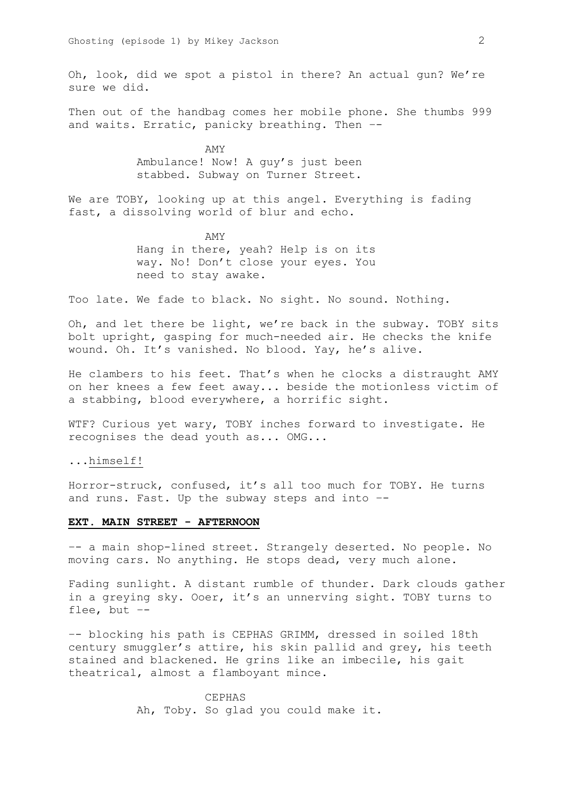Oh, look, did we spot a pistol in there? An actual gun? We're sure we did.

Then out of the handbag comes her mobile phone. She thumbs 999 and waits. Erratic, panicky breathing. Then –-

> AMY Ambulance! Now! A guy's just been stabbed. Subway on Turner Street.

We are TOBY, looking up at this angel. Everything is fading fast, a dissolving world of blur and echo.

> AMY Hang in there, yeah? Help is on its way. No! Don't close your eyes. You need to stay awake.

Too late. We fade to black. No sight. No sound. Nothing.

Oh, and let there be light, we're back in the subway. TOBY sits bolt upright, gasping for much-needed air. He checks the knife wound. Oh. It's vanished. No blood. Yay, he's alive.

He clambers to his feet. That's when he clocks a distraught AMY on her knees a few feet away... beside the motionless victim of a stabbing, blood everywhere, a horrific sight.

WTF? Curious yet wary, TOBY inches forward to investigate. He recognises the dead youth as... OMG...

...himself!

Horror-struck, confused, it's all too much for TOBY. He turns and runs. Fast. Up the subway steps and into –-

# **EXT. MAIN STREET - AFTERNOON**

–- a main shop-lined street. Strangely deserted. No people. No moving cars. No anything. He stops dead, very much alone.

Fading sunlight. A distant rumble of thunder. Dark clouds gather in a greying sky. Ooer, it's an unnerving sight. TOBY turns to flee, but –-

–- blocking his path is CEPHAS GRIMM, dressed in soiled 18th century smuggler's attire, his skin pallid and grey, his teeth stained and blackened. He grins like an imbecile, his gait theatrical, almost a flamboyant mince.

> CEPHAS Ah, Toby. So glad you could make it.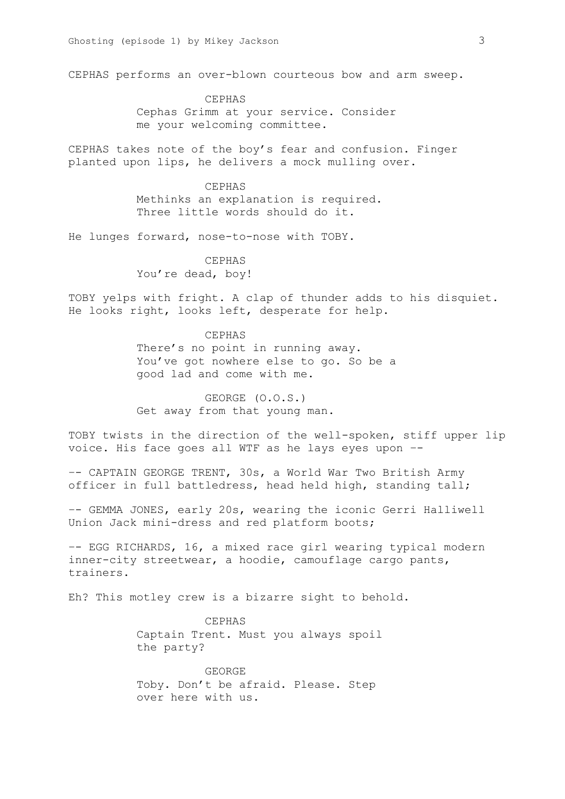CEPHAS performs an over-blown courteous bow and arm sweep.

CEPHAS Cephas Grimm at your service. Consider me your welcoming committee.

CEPHAS takes note of the boy's fear and confusion. Finger planted upon lips, he delivers a mock mulling over.

> CEPHAS Methinks an explanation is required. Three little words should do it.

He lunges forward, nose-to-nose with TOBY.

CEPHAS You're dead, boy!

TOBY yelps with fright. A clap of thunder adds to his disquiet. He looks right, looks left, desperate for help.

> CEPHAS There's no point in running away. You've got nowhere else to go. So be a good lad and come with me.

GEORGE (O.O.S.) Get away from that young man.

TOBY twists in the direction of the well-spoken, stiff upper lip voice. His face goes all WTF as he lays eyes upon –-

–- CAPTAIN GEORGE TRENT, 30s, a World War Two British Army officer in full battledress, head held high, standing tall;

–- GEMMA JONES, early 20s, wearing the iconic Gerri Halliwell Union Jack mini-dress and red platform boots;

–- EGG RICHARDS, 16, a mixed race girl wearing typical modern inner-city streetwear, a hoodie, camouflage cargo pants, trainers.

Eh? This motley crew is a bizarre sight to behold.

CEPHAS Captain Trent. Must you always spoil the party?

GEORGE Toby. Don't be afraid. Please. Step over here with us.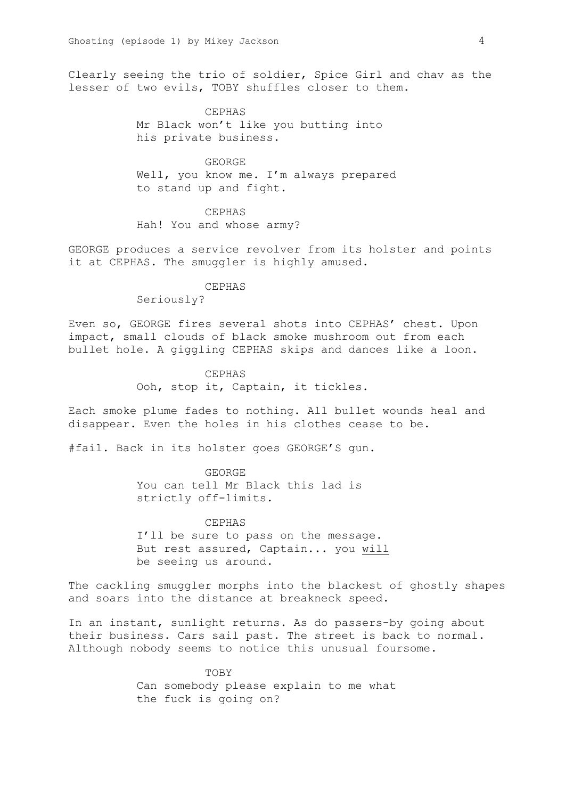Clearly seeing the trio of soldier, Spice Girl and chav as the lesser of two evils, TOBY shuffles closer to them.

> CEPHAS Mr Black won't like you butting into his private business.

## GEORGE

Well, you know me. I'm always prepared to stand up and fight.

# CEPHAS

Hah! You and whose army?

GEORGE produces a service revolver from its holster and points it at CEPHAS. The smuggler is highly amused.

## CEPHAS

Seriously?

Even so, GEORGE fires several shots into CEPHAS' chest. Upon impact, small clouds of black smoke mushroom out from each bullet hole. A giggling CEPHAS skips and dances like a loon.

> CEPHAS Ooh, stop it, Captain, it tickles.

Each smoke plume fades to nothing. All bullet wounds heal and disappear. Even the holes in his clothes cease to be.

#fail. Back in its holster goes GEORGE'S gun.

GEORGE You can tell Mr Black this lad is strictly off-limits.

CEPHAS I'll be sure to pass on the message. But rest assured, Captain... you will be seeing us around.

The cackling smuggler morphs into the blackest of ghostly shapes and soars into the distance at breakneck speed.

In an instant, sunlight returns. As do passers-by going about their business. Cars sail past. The street is back to normal. Although nobody seems to notice this unusual foursome.

> TOBY Can somebody please explain to me what the fuck is going on?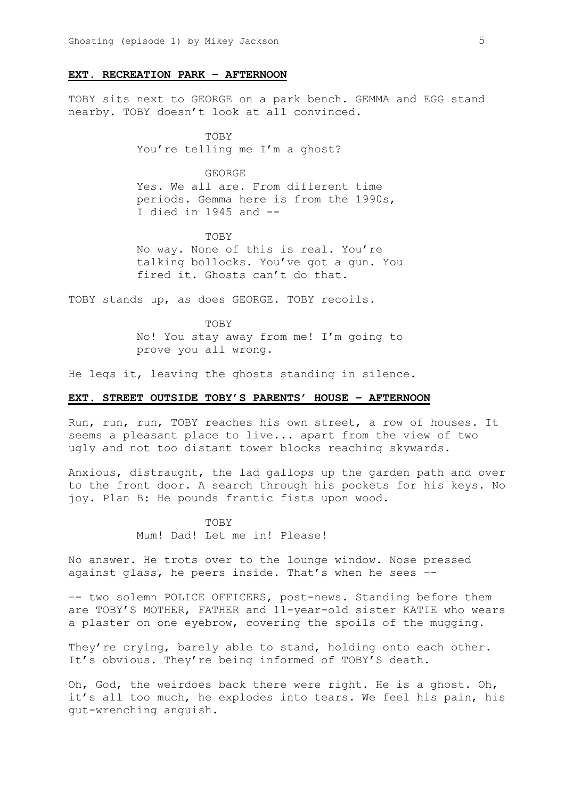## **EXT. RECREATION PARK – AFTERNOON**

TOBY sits next to GEORGE on a park bench. GEMMA and EGG stand nearby. TOBY doesn't look at all convinced.

> TOBY You're telling me I'm a ghost?

# GEORGE

Yes. We all are. From different time periods. Gemma here is from the 1990s, I died in 1945 and  $-$ -

TOBY No way. None of this is real. You're talking bollocks. You've got a gun. You fired it. Ghosts can't do that.

TOBY stands up, as does GEORGE. TOBY recoils.

TOBY No! You stay away from me! I'm going to prove you all wrong.

He legs it, leaving the ghosts standing in silence.

# **EXT. STREET OUTSIDE TOBY'S PARENTS' HOUSE – AFTERNOON**

Run, run, run, TOBY reaches his own street, a row of houses. It seems a pleasant place to live... apart from the view of two ugly and not too distant tower blocks reaching skywards.

Anxious, distraught, the lad gallops up the garden path and over to the front door. A search through his pockets for his keys. No joy. Plan B: He pounds frantic fists upon wood.

> **TOBY** Mum! Dad! Let me in! Please!

No answer. He trots over to the lounge window. Nose pressed against glass, he peers inside. That's when he sees –-

-- two solemn POLICE OFFICERS, post-news. Standing before them are TOBY'S MOTHER, FATHER and 11-year-old sister KATIE who wears a plaster on one eyebrow, covering the spoils of the mugging.

They're crying, barely able to stand, holding onto each other. It's obvious. They're being informed of TOBY'S death.

Oh, God, the weirdoes back there were right. He is a ghost. Oh, it's all too much, he explodes into tears. We feel his pain, his gut-wrenching anguish.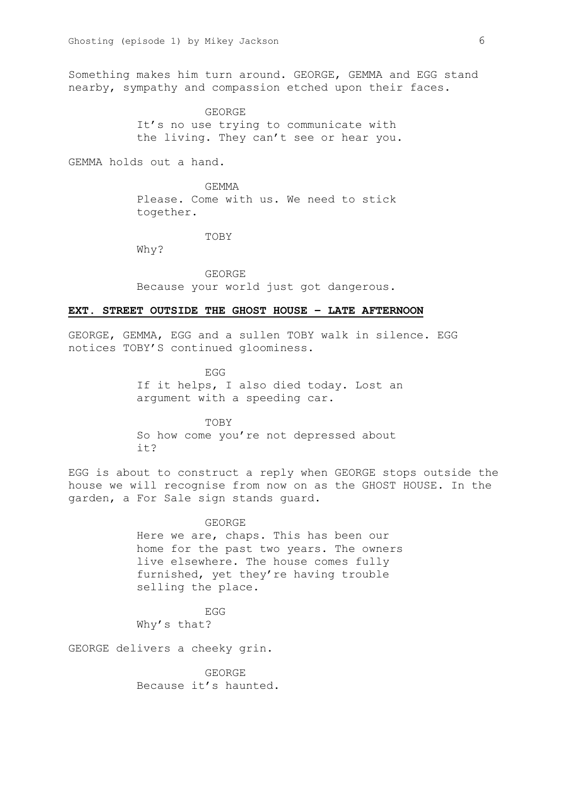Something makes him turn around. GEORGE, GEMMA and EGG stand nearby, sympathy and compassion etched upon their faces.

> GEORGE It's no use trying to communicate with the living. They can't see or hear you.

GEMMA holds out a hand.

GEMMA Please. Come with us. We need to stick together.

TOBY

Why?

GEORGE Because your world just got dangerous.

# **EXT. STREET OUTSIDE THE GHOST HOUSE – LATE AFTERNOON**

GEORGE, GEMMA, EGG and a sullen TOBY walk in silence. EGG notices TOBY'S continued gloominess.

> EGG If it helps, I also died today. Lost an argument with a speeding car.

TOBY So how come you're not depressed about it?

EGG is about to construct a reply when GEORGE stops outside the house we will recognise from now on as the GHOST HOUSE. In the garden, a For Sale sign stands guard.

> GEORGE Here we are, chaps. This has been our home for the past two years. The owners live elsewhere. The house comes fully furnished, yet they're having trouble selling the place.

EGG Why's that?

GEORGE delivers a cheeky grin.

GEORGE Because it's haunted.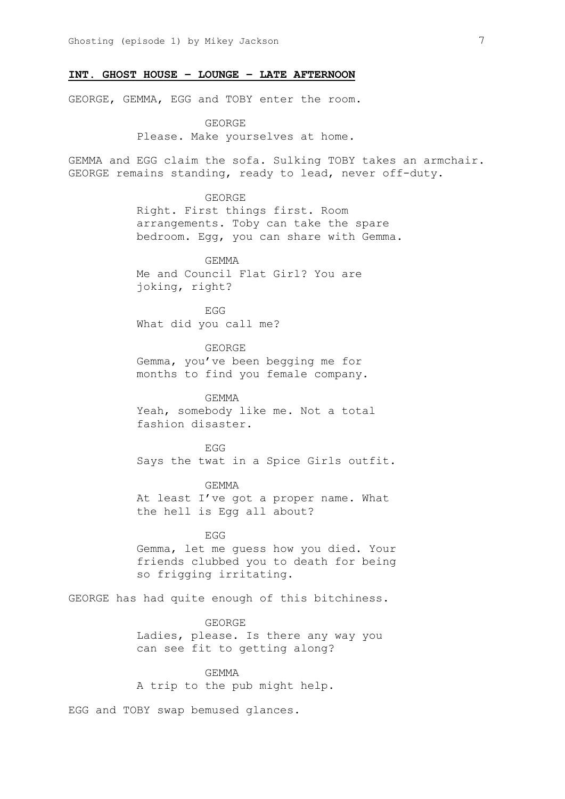# **INT. GHOST HOUSE – LOUNGE – LATE AFTERNOON**

GEORGE, GEMMA, EGG and TOBY enter the room.

GEORGE Please. Make yourselves at home.

GEMMA and EGG claim the sofa. Sulking TOBY takes an armchair. GEORGE remains standing, ready to lead, never off-duty.

> GEORGE Right. First things first. Room arrangements. Toby can take the spare bedroom. Egg, you can share with Gemma.

GEMMA Me and Council Flat Girl? You are joking, right?

EGG What did you call me?

GEORGE Gemma, you've been begging me for months to find you female company.

GEMMA Yeah, somebody like me. Not a total fashion disaster.

EGG Says the twat in a Spice Girls outfit.

GEMMA At least I've got a proper name. What the hell is Egg all about?

EGG Gemma, let me guess how you died. Your friends clubbed you to death for being so frigging irritating.

GEORGE has had quite enough of this bitchiness.

GEORGE Ladies, please. Is there any way you can see fit to getting along?

GEMMA A trip to the pub might help.

EGG and TOBY swap bemused glances.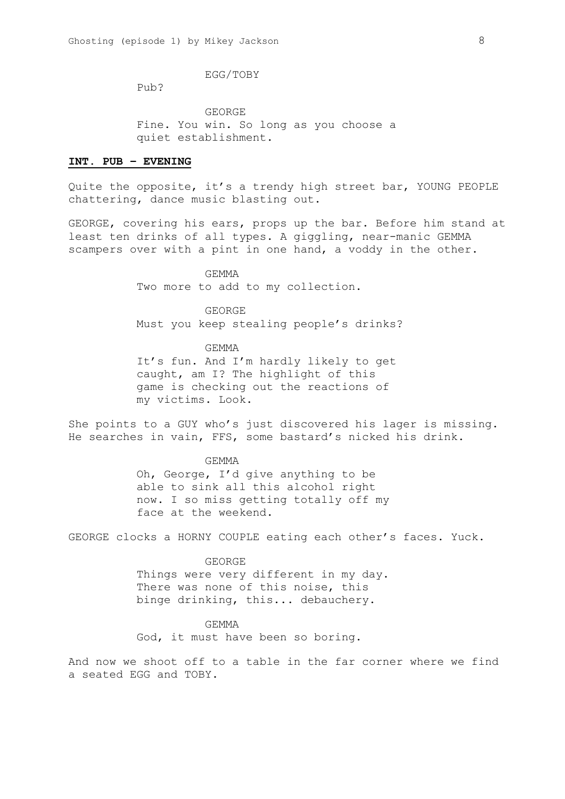EGG/TOBY

Pub?

GEORGE Fine. You win. So long as you choose a quiet establishment.

# **INT. PUB – EVENING**

Quite the opposite, it's a trendy high street bar, YOUNG PEOPLE chattering, dance music blasting out.

GEORGE, covering his ears, props up the bar. Before him stand at least ten drinks of all types. A giggling, near-manic GEMMA scampers over with a pint in one hand, a voddy in the other.

> GEMMA Two more to add to my collection.

GEORGE Must you keep stealing people's drinks?

GEMMA It's fun. And I'm hardly likely to get caught, am I? The highlight of this game is checking out the reactions of my victims. Look.

She points to a GUY who's just discovered his lager is missing. He searches in vain, FFS, some bastard's nicked his drink.

> GEMMA Oh, George, I'd give anything to be able to sink all this alcohol right now. I so miss getting totally off my face at the weekend.

GEORGE clocks a HORNY COUPLE eating each other's faces. Yuck.

GEORGE

Things were very different in my day. There was none of this noise, this binge drinking, this... debauchery.

GEMMA

God, it must have been so boring.

And now we shoot off to a table in the far corner where we find a seated EGG and TOBY.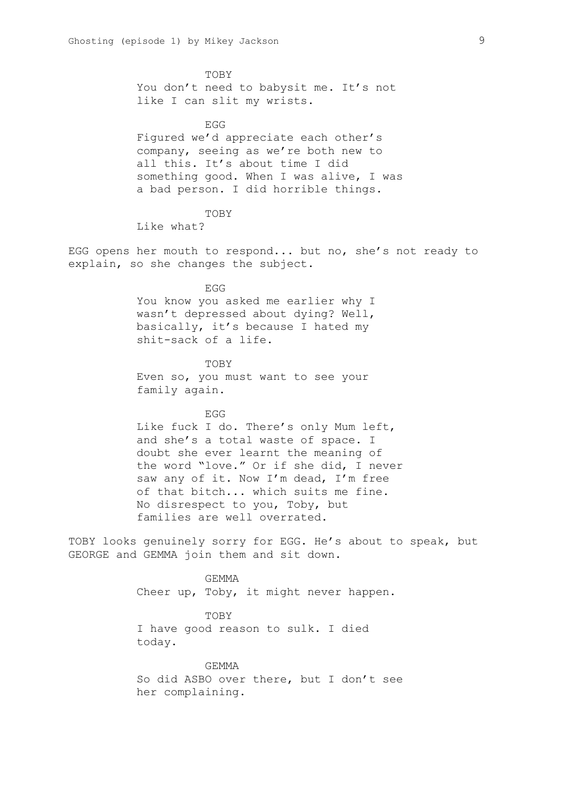TOBY You don't need to babysit me. It's not like I can slit my wrists.

EGG Figured we'd appreciate each other's company, seeing as we're both new to all this. It's about time I did something good. When I was alive, I was a bad person. I did horrible things.

Like what?

TOBY

EGG opens her mouth to respond... but no, she's not ready to explain, so she changes the subject.

> EGG You know you asked me earlier why I wasn't depressed about dying? Well, basically, it's because I hated my shit-sack of a life.

**TOBY** Even so, you must want to see your family again.

## EGG

Like fuck I do. There's only Mum left, and she's a total waste of space. I doubt she ever learnt the meaning of the word "love." Or if she did, I never saw any of it. Now I'm dead, I'm free of that bitch... which suits me fine. No disrespect to you, Toby, but families are well overrated.

TOBY looks genuinely sorry for EGG. He's about to speak, but GEORGE and GEMMA join them and sit down.

> GEMMA Cheer up, Toby, it might never happen.

> > TOBY

I have good reason to sulk. I died today.

GEMMA So did ASBO over there, but I don't see her complaining.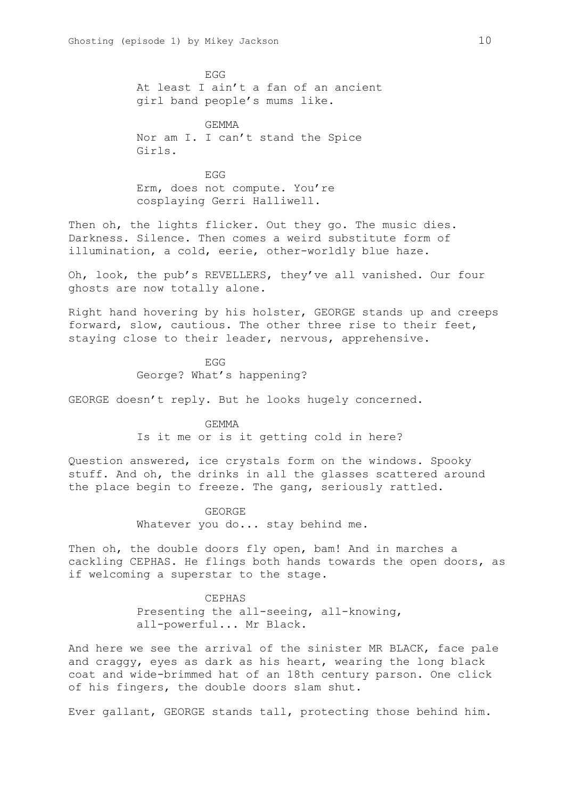EGG At least I ain't a fan of an ancient girl band people's mums like.

**GEMMA** Nor am I. I can't stand the Spice Girls.

EGG Erm, does not compute. You're cosplaying Gerri Halliwell.

Then oh, the lights flicker. Out they go. The music dies. Darkness. Silence. Then comes a weird substitute form of illumination, a cold, eerie, other-worldly blue haze.

Oh, look, the pub's REVELLERS, they've all vanished. Our four ghosts are now totally alone.

Right hand hovering by his holster, GEORGE stands up and creeps forward, slow, cautious. The other three rise to their feet, staying close to their leader, nervous, apprehensive.

> EGG George? What's happening?

GEORGE doesn't reply. But he looks hugely concerned.

GEMMA Is it me or is it getting cold in here?

Question answered, ice crystals form on the windows. Spooky stuff. And oh, the drinks in all the glasses scattered around the place begin to freeze. The gang, seriously rattled.

> GEORGE Whatever you do... stay behind me.

Then oh, the double doors fly open, bam! And in marches a cackling CEPHAS. He flings both hands towards the open doors, as if welcoming a superstar to the stage.

> CEPHAS Presenting the all-seeing, all-knowing, all-powerful... Mr Black.

And here we see the arrival of the sinister MR BLACK, face pale and craggy, eyes as dark as his heart, wearing the long black coat and wide-brimmed hat of an 18th century parson. One click of his fingers, the double doors slam shut.

Ever gallant, GEORGE stands tall, protecting those behind him.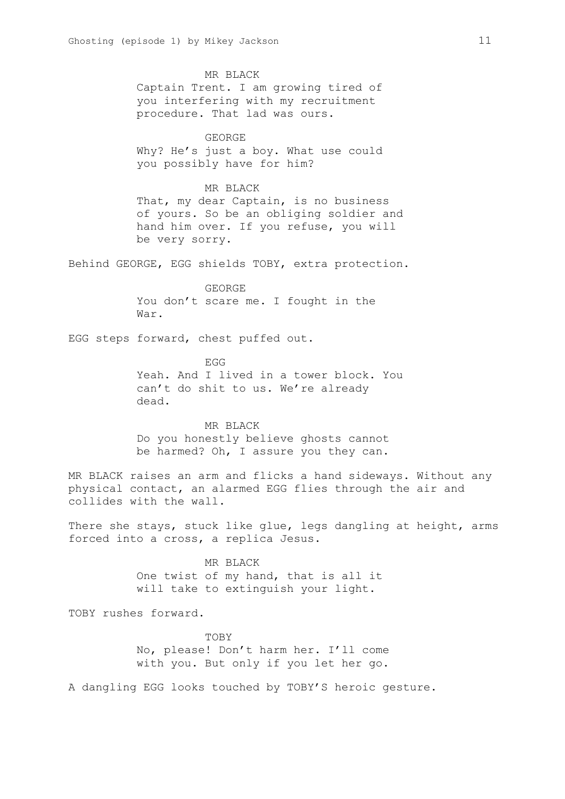MR BLACK Captain Trent. I am growing tired of you interfering with my recruitment procedure. That lad was ours.

# GEORGE

Why? He's just a boy. What use could you possibly have for him?

# MR BLACK

That, my dear Captain, is no business of yours. So be an obliging soldier and hand him over. If you refuse, you will be very sorry.

Behind GEORGE, EGG shields TOBY, extra protection.

GEORGE You don't scare me. I fought in the War.

EGG steps forward, chest puffed out.

EGG Yeah. And I lived in a tower block. You can't do shit to us. We're already dead.

MR BLACK Do you honestly believe ghosts cannot be harmed? Oh, I assure you they can.

MR BLACK raises an arm and flicks a hand sideways. Without any physical contact, an alarmed EGG flies through the air and collides with the wall.

There she stays, stuck like glue, legs dangling at height, arms forced into a cross, a replica Jesus.

> MR BLACK One twist of my hand, that is all it will take to extinguish your light.

TOBY rushes forward.

**TOBY** No, please! Don't harm her. I'll come with you. But only if you let her go.

A dangling EGG looks touched by TOBY'S heroic gesture.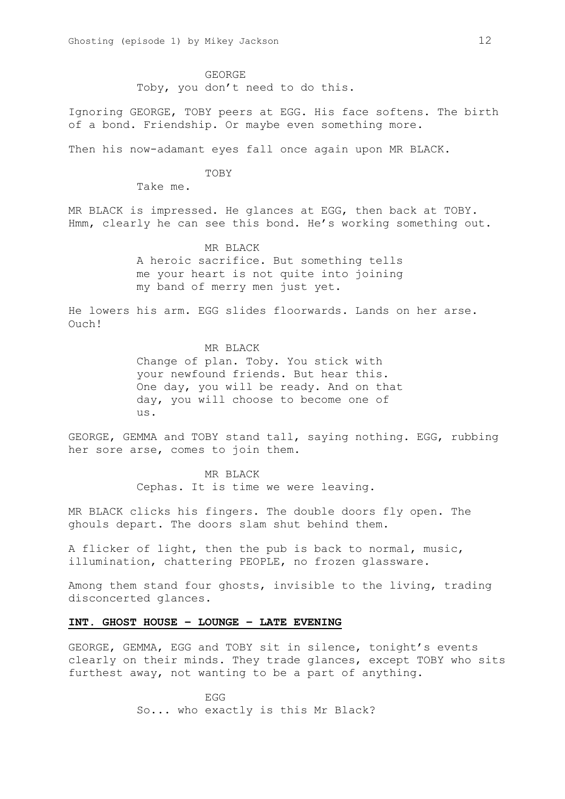GEORGE Toby, you don't need to do this.

Ignoring GEORGE, TOBY peers at EGG. His face softens. The birth of a bond. Friendship. Or maybe even something more.

Then his now-adamant eyes fall once again upon MR BLACK.

TOBY

Take me.

MR BLACK is impressed. He glances at EGG, then back at TOBY. Hmm, clearly he can see this bond. He's working something out.

MR BLACK

A heroic sacrifice. But something tells me your heart is not quite into joining my band of merry men just yet.

He lowers his arm. EGG slides floorwards. Lands on her arse. Ouch!

MR BLACK

Change of plan. Toby. You stick with your newfound friends. But hear this. One day, you will be ready. And on that day, you will choose to become one of us.

GEORGE, GEMMA and TOBY stand tall, saying nothing. EGG, rubbing her sore arse, comes to join them.

> MR BLACK Cephas. It is time we were leaving.

MR BLACK clicks his fingers. The double doors fly open. The ghouls depart. The doors slam shut behind them.

A flicker of light, then the pub is back to normal, music, illumination, chattering PEOPLE, no frozen glassware.

Among them stand four ghosts, invisible to the living, trading disconcerted glances.

# **INT. GHOST HOUSE – LOUNGE – LATE EVENING**

GEORGE, GEMMA, EGG and TOBY sit in silence, tonight's events clearly on their minds. They trade glances, except TOBY who sits furthest away, not wanting to be a part of anything.

> EGG So... who exactly is this Mr Black?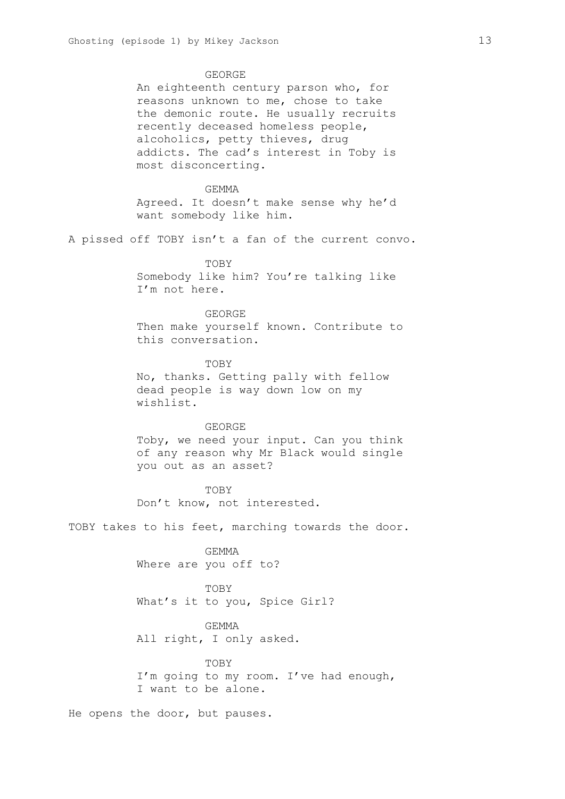## GEORGE

An eighteenth century parson who, for reasons unknown to me, chose to take the demonic route. He usually recruits recently deceased homeless people, alcoholics, petty thieves, drug addicts. The cad's interest in Toby is most disconcerting.

# GEMMA Agreed. It doesn't make sense why he'd want somebody like him.

A pissed off TOBY isn't a fan of the current convo.

#### TOBY

Somebody like him? You're talking like I'm not here.

#### GEORGE

Then make yourself known. Contribute to this conversation.

# **TOBY**

No, thanks. Getting pally with fellow dead people is way down low on my wishlist.

#### GEORGE

Toby, we need your input. Can you think of any reason why Mr Black would single you out as an asset?

**TOBY** Don't know, not interested.

TOBY takes to his feet, marching towards the door.

GEMMA Where are you off to?

TOBY What's it to you, Spice Girl?

# GEMMA

All right, I only asked.

# TOBY I'm going to my room. I've had enough, I want to be alone.

He opens the door, but pauses.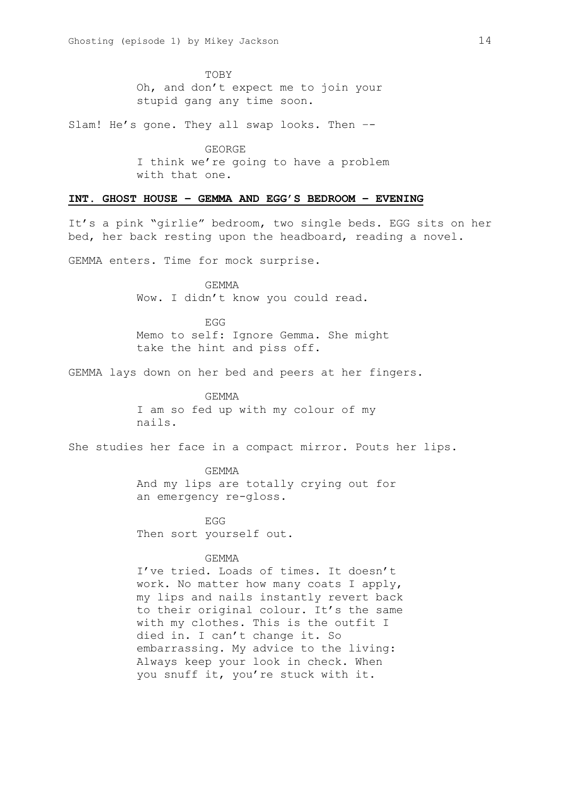TOBY Oh, and don't expect me to join your stupid gang any time soon.

Slam! He's gone. They all swap looks. Then –-

GEORGE I think we're going to have a problem with that one.

## **INT. GHOST HOUSE – GEMMA AND EGG'S BEDROOM – EVENING**

It's a pink "girlie" bedroom, two single beds. EGG sits on her bed, her back resting upon the headboard, reading a novel.

GEMMA enters. Time for mock surprise.

GEMMA Wow. I didn't know you could read.

EGG Memo to self: Ignore Gemma. She might take the hint and piss off.

GEMMA lays down on her bed and peers at her fingers.

GEMMA I am so fed up with my colour of my nails.

She studies her face in a compact mirror. Pouts her lips.

GEMMA And my lips are totally crying out for an emergency re-gloss.

EGG Then sort yourself out.

# **GEMMA**

I've tried. Loads of times. It doesn't work. No matter how many coats I apply, my lips and nails instantly revert back to their original colour. It's the same with my clothes. This is the outfit I died in. I can't change it. So embarrassing. My advice to the living: Always keep your look in check. When you snuff it, you're stuck with it.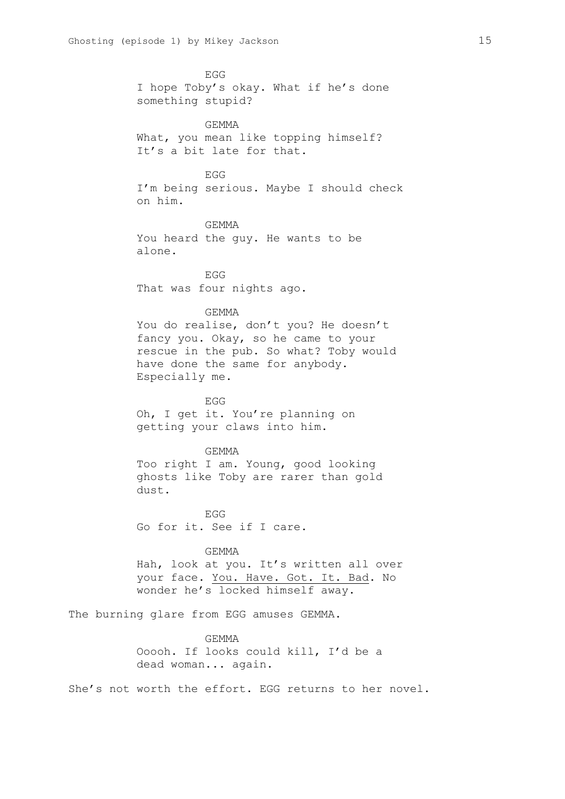EGG I hope Toby's okay. What if he's done something stupid? **GEMMA** What, you mean like topping himself? It's a bit late for that. EGG I'm being serious. Maybe I should check on him. GEMMA You heard the guy. He wants to be alone. EGG That was four nights ago. GEMMA You do realise, don't you? He doesn't fancy you. Okay, so he came to your rescue in the pub. So what? Toby would have done the same for anybody. Especially me. EGG Oh, I get it. You're planning on getting your claws into him. GEMMA Too right I am. Young, good looking ghosts like Toby are rarer than gold dust. EGG Go for it. See if I care. GEMMA Hah, look at you. It's written all over your face. You. Have. Got. It. Bad. No wonder he's locked himself away. The burning glare from EGG amuses GEMMA. GEMMA Ooooh. If looks could kill, I'd be a dead woman... again. She's not worth the effort. EGG returns to her novel.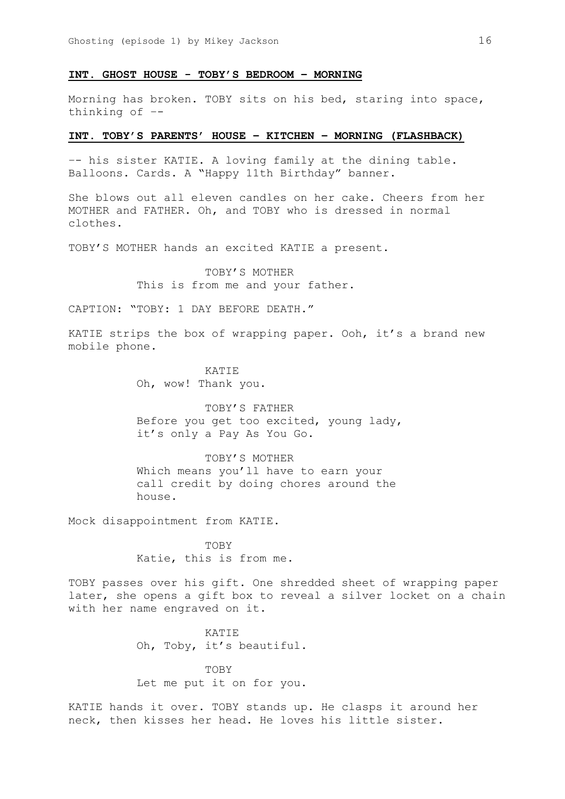# **INT. GHOST HOUSE - TOBY'S BEDROOM – MORNING**

Morning has broken. TOBY sits on his bed, staring into space, thinking of –-

## **INT. TOBY'S PARENTS' HOUSE – KITCHEN – MORNING (FLASHBACK)**

–- his sister KATIE. A loving family at the dining table. Balloons. Cards. A "Happy 11th Birthday" banner.

She blows out all eleven candles on her cake. Cheers from her MOTHER and FATHER. Oh, and TOBY who is dressed in normal clothes.

TOBY'S MOTHER hands an excited KATIE a present.

TOBY'S MOTHER This is from me and your father.

CAPTION: "TOBY: 1 DAY BEFORE DEATH."

KATIE strips the box of wrapping paper. Ooh, it's a brand new mobile phone.

> KATIE Oh, wow! Thank you.

TOBY'S FATHER Before you get too excited, young lady, it's only a Pay As You Go.

TOBY'S MOTHER Which means you'll have to earn your call credit by doing chores around the house.

Mock disappointment from KATIE.

TOBY Katie, this is from me.

TOBY passes over his gift. One shredded sheet of wrapping paper later, she opens a gift box to reveal a silver locket on a chain with her name engraved on it.

> KATIE Oh, Toby, it's beautiful.

> TOBY Let me put it on for you.

KATIE hands it over. TOBY stands up. He clasps it around her neck, then kisses her head. He loves his little sister.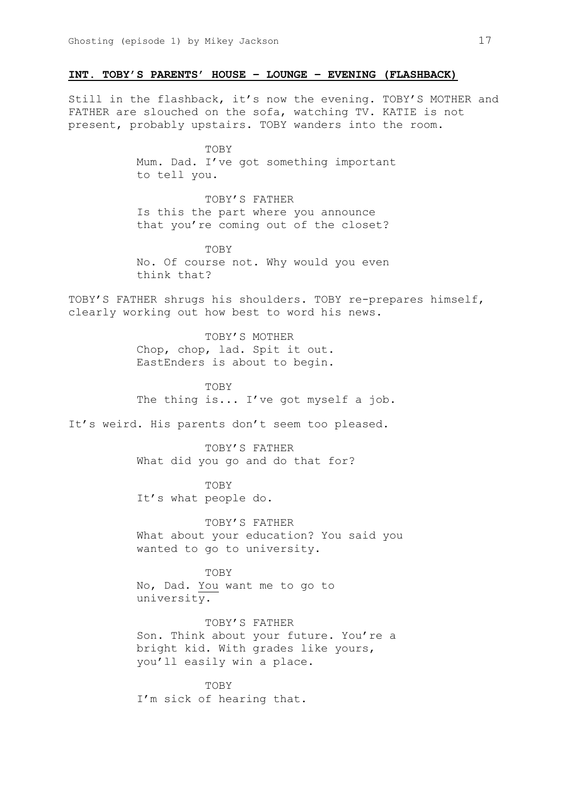# **INT. TOBY'S PARENTS' HOUSE – LOUNGE – EVENING (FLASHBACK)**

Still in the flashback, it's now the evening. TOBY'S MOTHER and FATHER are slouched on the sofa, watching TV. KATIE is not present, probably upstairs. TOBY wanders into the room.

> **TOBY** Mum. Dad. I've got something important to tell you.

TOBY'S FATHER Is this the part where you announce that you're coming out of the closet?

TOBY No. Of course not. Why would you even think that?

TOBY'S FATHER shrugs his shoulders. TOBY re-prepares himself, clearly working out how best to word his news.

> TOBY'S MOTHER Chop, chop, lad. Spit it out. EastEnders is about to begin.

**TOBY** The thing is... I've got myself a job.

It's weird. His parents don't seem too pleased.

TOBY'S FATHER What did you go and do that for?

**TOBY** It's what people do.

TOBY'S FATHER What about your education? You said you wanted to go to university.

TOBY No, Dad. You want me to go to university.

TOBY'S FATHER Son. Think about your future. You're a bright kid. With grades like yours, you'll easily win a place.

TOBY I'm sick of hearing that.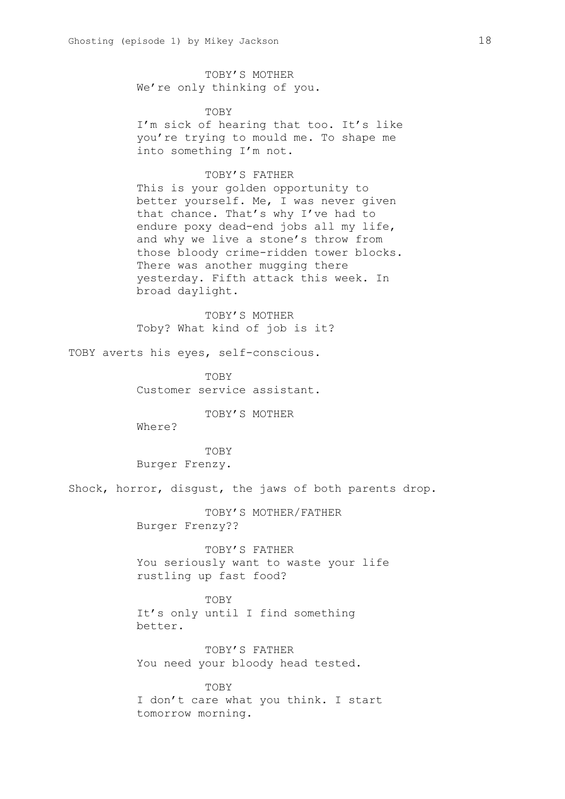TOBY'S MOTHER We're only thinking of you.

## **TOBY**

I'm sick of hearing that too. It's like you're trying to mould me. To shape me into something I'm not.

# TOBY'S FATHER

This is your golden opportunity to better yourself. Me, I was never given that chance. That's why I've had to endure poxy dead-end jobs all my life, and why we live a stone's throw from those bloody crime-ridden tower blocks. There was another mugging there yesterday. Fifth attack this week. In broad daylight.

TOBY'S MOTHER Toby? What kind of job is it?

TOBY averts his eyes, self-conscious.

TOBY Customer service assistant.

TOBY'S MOTHER

Where?

TOBY Burger Frenzy.

Shock, horror, disgust, the jaws of both parents drop.

TOBY'S MOTHER/FATHER Burger Frenzy??

TOBY'S FATHER You seriously want to waste your life rustling up fast food?

**TOBY** It's only until I find something better.

TOBY'S FATHER You need your bloody head tested.

TOBY I don't care what you think. I start tomorrow morning.